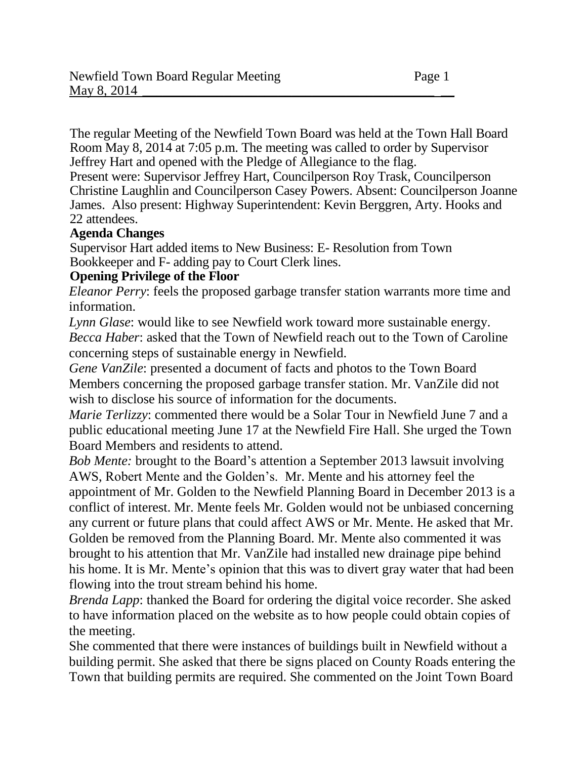The regular Meeting of the Newfield Town Board was held at the Town Hall Board Room May 8, 2014 at 7:05 p.m. The meeting was called to order by Supervisor Jeffrey Hart and opened with the Pledge of Allegiance to the flag.

Present were: Supervisor Jeffrey Hart, Councilperson Roy Trask, Councilperson Christine Laughlin and Councilperson Casey Powers. Absent: Councilperson Joanne James. Also present: Highway Superintendent: Kevin Berggren, Arty. Hooks and 22 attendees.

#### **Agenda Changes**

Supervisor Hart added items to New Business: E- Resolution from Town Bookkeeper and F- adding pay to Court Clerk lines.

#### **Opening Privilege of the Floor**

*Eleanor Perry*: feels the proposed garbage transfer station warrants more time and information.

*Lynn Glase*: would like to see Newfield work toward more sustainable energy. *Becca Haber*: asked that the Town of Newfield reach out to the Town of Caroline concerning steps of sustainable energy in Newfield.

*Gene VanZile*: presented a document of facts and photos to the Town Board Members concerning the proposed garbage transfer station. Mr. VanZile did not wish to disclose his source of information for the documents.

*Marie Terlizzy:* commented there would be a Solar Tour in Newfield June 7 and a public educational meeting June 17 at the Newfield Fire Hall. She urged the Town Board Members and residents to attend.

*Bob Mente:* brought to the Board's attention a September 2013 lawsuit involving AWS, Robert Mente and the Golden's. Mr. Mente and his attorney feel the appointment of Mr. Golden to the Newfield Planning Board in December 2013 is a conflict of interest. Mr. Mente feels Mr. Golden would not be unbiased concerning any current or future plans that could affect AWS or Mr. Mente. He asked that Mr. Golden be removed from the Planning Board. Mr. Mente also commented it was brought to his attention that Mr. VanZile had installed new drainage pipe behind his home. It is Mr. Mente's opinion that this was to divert gray water that had been flowing into the trout stream behind his home.

*Brenda Lapp*: thanked the Board for ordering the digital voice recorder. She asked to have information placed on the website as to how people could obtain copies of the meeting.

She commented that there were instances of buildings built in Newfield without a building permit. She asked that there be signs placed on County Roads entering the Town that building permits are required. She commented on the Joint Town Board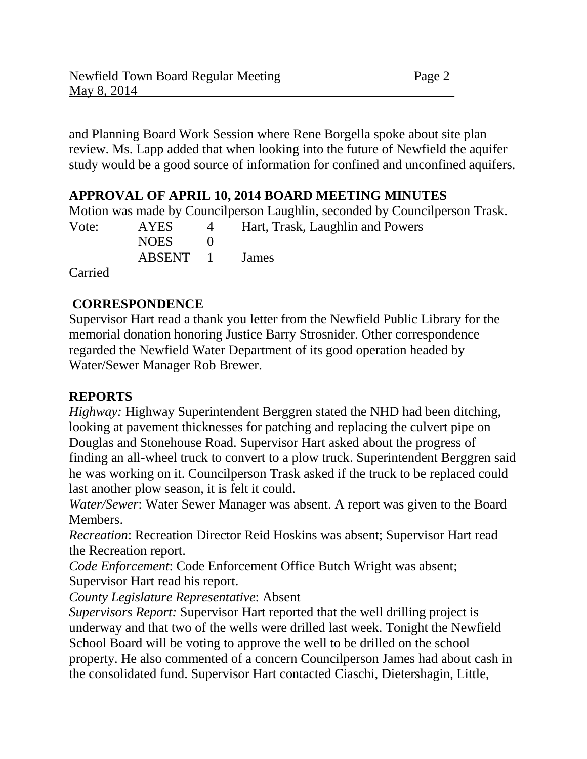and Planning Board Work Session where Rene Borgella spoke about site plan review. Ms. Lapp added that when looking into the future of Newfield the aquifer study would be a good source of information for confined and unconfined aquifers.

## **APPROVAL OF APRIL 10, 2014 BOARD MEETING MINUTES**

Motion was made by Councilperson Laughlin, seconded by Councilperson Trask. Vote: AYES 4 Hart, Trask, Laughlin and Powers  $NOES$  0 ABSENT 1 James

Carried

## **CORRESPONDENCE**

Supervisor Hart read a thank you letter from the Newfield Public Library for the memorial donation honoring Justice Barry Strosnider. Other correspondence regarded the Newfield Water Department of its good operation headed by Water/Sewer Manager Rob Brewer.

### **REPORTS**

*Highway:* Highway Superintendent Berggren stated the NHD had been ditching, looking at pavement thicknesses for patching and replacing the culvert pipe on Douglas and Stonehouse Road. Supervisor Hart asked about the progress of finding an all-wheel truck to convert to a plow truck. Superintendent Berggren said he was working on it. Councilperson Trask asked if the truck to be replaced could last another plow season, it is felt it could.

*Water/Sewer*: Water Sewer Manager was absent. A report was given to the Board Members.

*Recreation*: Recreation Director Reid Hoskins was absent; Supervisor Hart read the Recreation report.

*Code Enforcement*: Code Enforcement Office Butch Wright was absent; Supervisor Hart read his report.

*County Legislature Representative*: Absent

*Supervisors Report:* Supervisor Hart reported that the well drilling project is underway and that two of the wells were drilled last week. Tonight the Newfield School Board will be voting to approve the well to be drilled on the school property. He also commented of a concern Councilperson James had about cash in the consolidated fund. Supervisor Hart contacted Ciaschi, Dietershagin, Little,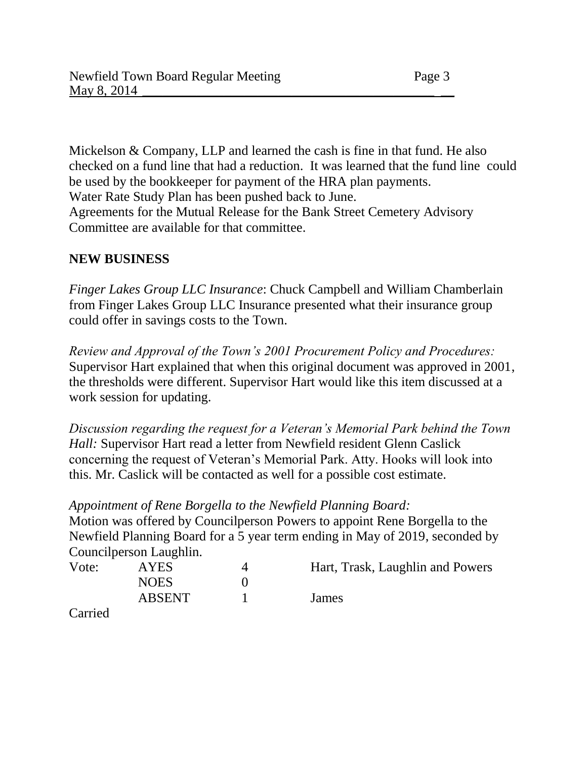Mickelson & Company, LLP and learned the cash is fine in that fund. He also checked on a fund line that had a reduction. It was learned that the fund line could be used by the bookkeeper for payment of the HRA plan payments. Water Rate Study Plan has been pushed back to June. Agreements for the Mutual Release for the Bank Street Cemetery Advisory Committee are available for that committee.

### **NEW BUSINESS**

*Finger Lakes Group LLC Insurance*: Chuck Campbell and William Chamberlain from Finger Lakes Group LLC Insurance presented what their insurance group could offer in savings costs to the Town.

*Review and Approval of the Town's 2001 Procurement Policy and Procedures:* Supervisor Hart explained that when this original document was approved in 2001, the thresholds were different. Supervisor Hart would like this item discussed at a work session for updating.

*Discussion regarding the request for a Veteran's Memorial Park behind the Town Hall:* Supervisor Hart read a letter from Newfield resident Glenn Caslick concerning the request of Veteran's Memorial Park. Atty. Hooks will look into this. Mr. Caslick will be contacted as well for a possible cost estimate.

### *Appointment of Rene Borgella to the Newfield Planning Board:*

Motion was offered by Councilperson Powers to appoint Rene Borgella to the Newfield Planning Board for a 5 year term ending in May of 2019, seconded by Councilperson Laughlin.

| Vote:   | <b>AYES</b>   | Hart, Trask, Laughlin and Powers |
|---------|---------------|----------------------------------|
|         | <b>NOES</b>   |                                  |
|         | <b>ABSENT</b> | James                            |
| Carried |               |                                  |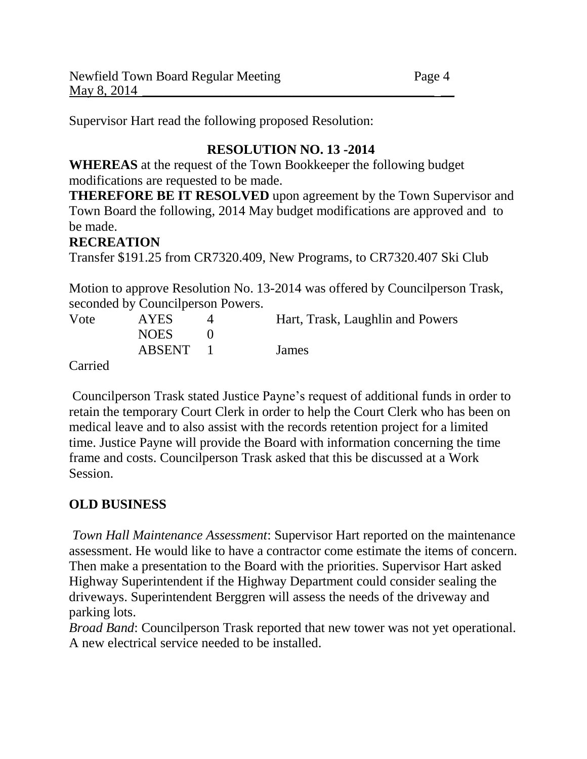Supervisor Hart read the following proposed Resolution:

# **RESOLUTION NO. 13 -2014**

**WHEREAS** at the request of the Town Bookkeeper the following budget modifications are requested to be made.

**THEREFORE BE IT RESOLVED** upon agreement by the Town Supervisor and Town Board the following, 2014 May budget modifications are approved and to be made.

# **RECREATION**

Transfer \$191.25 from CR7320.409, New Programs, to CR7320.407 Ski Club

Motion to approve Resolution No. 13-2014 was offered by Councilperson Trask, seconded by Councilperson Powers.

| Vote | <b>AYES</b> | Hart, Trask, Laughlin and Powers |
|------|-------------|----------------------------------|
|      | <b>NOES</b> |                                  |
|      | ABSENT      | James                            |
| __   |             |                                  |

Carried

Councilperson Trask stated Justice Payne's request of additional funds in order to retain the temporary Court Clerk in order to help the Court Clerk who has been on medical leave and to also assist with the records retention project for a limited time. Justice Payne will provide the Board with information concerning the time frame and costs. Councilperson Trask asked that this be discussed at a Work Session.

# **OLD BUSINESS**

*Town Hall Maintenance Assessment*: Supervisor Hart reported on the maintenance assessment. He would like to have a contractor come estimate the items of concern. Then make a presentation to the Board with the priorities. Supervisor Hart asked Highway Superintendent if the Highway Department could consider sealing the driveways. Superintendent Berggren will assess the needs of the driveway and parking lots.

*Broad Band*: Councilperson Trask reported that new tower was not yet operational. A new electrical service needed to be installed.